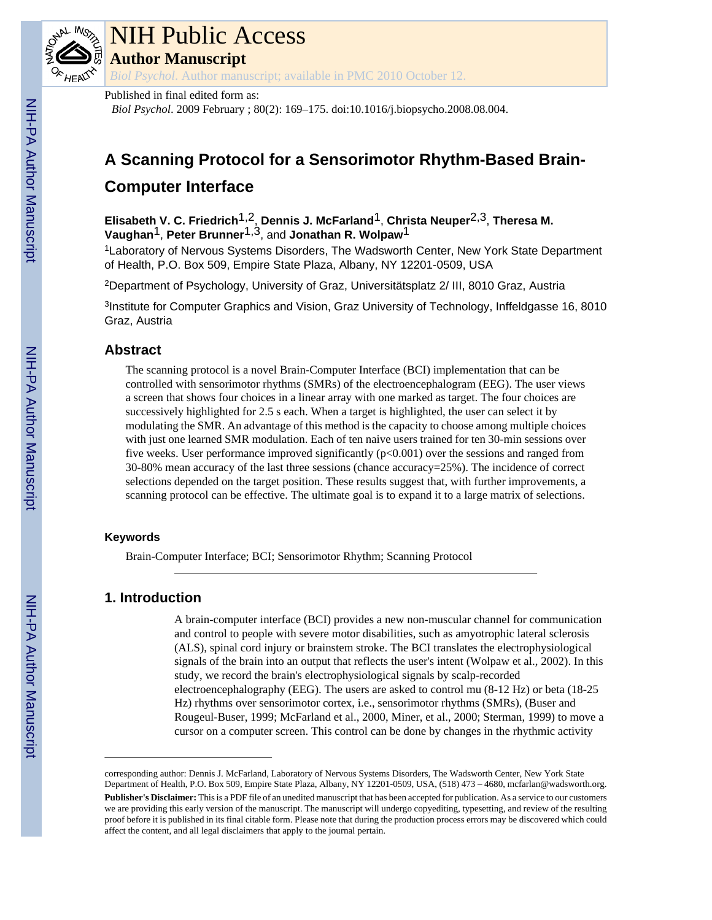

# NIH Public Access

**Author Manuscript**

*Biol Psychol*. Author manuscript; available in PMC 2010 October 12.

Published in final edited form as:

*Biol Psychol*. 2009 February ; 80(2): 169–175. doi:10.1016/j.biopsycho.2008.08.004.

# **A Scanning Protocol for a Sensorimotor Rhythm-Based Brain-**

# **Computer Interface**

**Elisabeth V. C. Friedrich**1,2, **Dennis J. McFarland**1, **Christa Neuper**2,3, **Theresa M. Vaughan**1, **Peter Brunner**1,3, and **Jonathan R. Wolpaw**1

<sup>1</sup>Laboratory of Nervous Systems Disorders, The Wadsworth Center, New York State Department of Health, P.O. Box 509, Empire State Plaza, Albany, NY 12201-0509, USA

<sup>2</sup>Department of Psychology, University of Graz, Universitätsplatz 2/ III, 8010 Graz, Austria

<sup>3</sup>Institute for Computer Graphics and Vision, Graz University of Technology, Inffeldgasse 16, 8010 Graz, Austria

# **Abstract**

The scanning protocol is a novel Brain-Computer Interface (BCI) implementation that can be controlled with sensorimotor rhythms (SMRs) of the electroencephalogram (EEG). The user views a screen that shows four choices in a linear array with one marked as target. The four choices are successively highlighted for 2.5 s each. When a target is highlighted, the user can select it by modulating the SMR. An advantage of this method is the capacity to choose among multiple choices with just one learned SMR modulation. Each of ten naive users trained for ten 30-min sessions over five weeks. User performance improved significantly (p<0.001) over the sessions and ranged from 30-80% mean accuracy of the last three sessions (chance accuracy=25%). The incidence of correct selections depended on the target position. These results suggest that, with further improvements, a scanning protocol can be effective. The ultimate goal is to expand it to a large matrix of selections.

#### **Keywords**

Brain-Computer Interface; BCI; Sensorimotor Rhythm; Scanning Protocol

# **1. Introduction**

A brain-computer interface (BCI) provides a new non-muscular channel for communication and control to people with severe motor disabilities, such as amyotrophic lateral sclerosis (ALS), spinal cord injury or brainstem stroke. The BCI translates the electrophysiological signals of the brain into an output that reflects the user's intent (Wolpaw et al., 2002). In this study, we record the brain's electrophysiological signals by scalp-recorded electroencephalography (EEG). The users are asked to control mu (8-12 Hz) or beta (18-25 Hz) rhythms over sensorimotor cortex, i.e., sensorimotor rhythms (SMRs), (Buser and Rougeul-Buser, 1999; McFarland et al., 2000, Miner, et al., 2000; Sterman, 1999) to move a cursor on a computer screen. This control can be done by changes in the rhythmic activity

corresponding author: Dennis J. McFarland, Laboratory of Nervous Systems Disorders, The Wadsworth Center, New York State Department of Health, P.O. Box 509, Empire State Plaza, Albany, NY 12201-0509, USA, (518) 473 – 4680, mcfarlan@wadsworth.org.

**Publisher's Disclaimer:** This is a PDF file of an unedited manuscript that has been accepted for publication. As a service to our customers we are providing this early version of the manuscript. The manuscript will undergo copyediting, typesetting, and review of the resulting proof before it is published in its final citable form. Please note that during the production process errors may be discovered which could affect the content, and all legal disclaimers that apply to the journal pertain.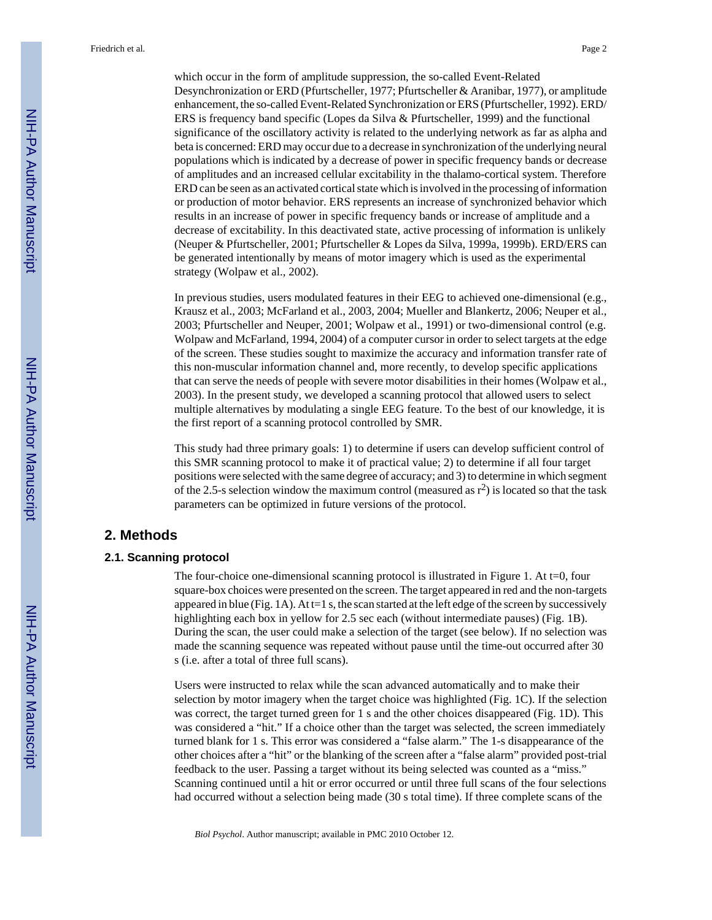which occur in the form of amplitude suppression, the so-called Event-Related Desynchronization or ERD (Pfurtscheller, 1977; Pfurtscheller & Aranibar, 1977), or amplitude enhancement, the so-called Event-Related Synchronization or ERS (Pfurtscheller, 1992). ERD/ ERS is frequency band specific (Lopes da Silva & Pfurtscheller, 1999) and the functional significance of the oscillatory activity is related to the underlying network as far as alpha and beta is concerned: ERD may occur due to a decrease in synchronization of the underlying neural populations which is indicated by a decrease of power in specific frequency bands or decrease of amplitudes and an increased cellular excitability in the thalamo-cortical system. Therefore ERD can be seen as an activated cortical state which is involved in the processing of information or production of motor behavior. ERS represents an increase of synchronized behavior which results in an increase of power in specific frequency bands or increase of amplitude and a decrease of excitability. In this deactivated state, active processing of information is unlikely (Neuper & Pfurtscheller, 2001; Pfurtscheller & Lopes da Silva, 1999a, 1999b). ERD/ERS can be generated intentionally by means of motor imagery which is used as the experimental strategy (Wolpaw et al., 2002).

In previous studies, users modulated features in their EEG to achieved one-dimensional (e.g., Krausz et al., 2003; McFarland et al., 2003, 2004; Mueller and Blankertz, 2006; Neuper et al., 2003; Pfurtscheller and Neuper, 2001; Wolpaw et al., 1991) or two-dimensional control (e.g. Wolpaw and McFarland, 1994, 2004) of a computer cursor in order to select targets at the edge of the screen. These studies sought to maximize the accuracy and information transfer rate of this non-muscular information channel and, more recently, to develop specific applications that can serve the needs of people with severe motor disabilities in their homes (Wolpaw et al., 2003). In the present study, we developed a scanning protocol that allowed users to select multiple alternatives by modulating a single EEG feature. To the best of our knowledge, it is the first report of a scanning protocol controlled by SMR.

This study had three primary goals: 1) to determine if users can develop sufficient control of this SMR scanning protocol to make it of practical value; 2) to determine if all four target positions were selected with the same degree of accuracy; and 3) to determine in which segment of the 2.5-s selection window the maximum control (measured as  $r^2$ ) is located so that the task parameters can be optimized in future versions of the protocol.

# **2. Methods**

#### **2.1. Scanning protocol**

The four-choice one-dimensional scanning protocol is illustrated in Figure 1. At  $t=0$ , four square-box choices were presented on the screen. The target appeared in red and the non-targets appeared in blue (Fig. 1A). At  $t=1$  s, the scan started at the left edge of the screen by successively highlighting each box in yellow for 2.5 sec each (without intermediate pauses) (Fig. 1B). During the scan, the user could make a selection of the target (see below). If no selection was made the scanning sequence was repeated without pause until the time-out occurred after 30 s (i.e. after a total of three full scans).

Users were instructed to relax while the scan advanced automatically and to make their selection by motor imagery when the target choice was highlighted (Fig. 1C). If the selection was correct, the target turned green for 1 s and the other choices disappeared (Fig. 1D). This was considered a "hit." If a choice other than the target was selected, the screen immediately turned blank for 1 s. This error was considered a "false alarm." The 1-s disappearance of the other choices after a "hit" or the blanking of the screen after a "false alarm" provided post-trial feedback to the user. Passing a target without its being selected was counted as a "miss." Scanning continued until a hit or error occurred or until three full scans of the four selections had occurred without a selection being made (30 s total time). If three complete scans of the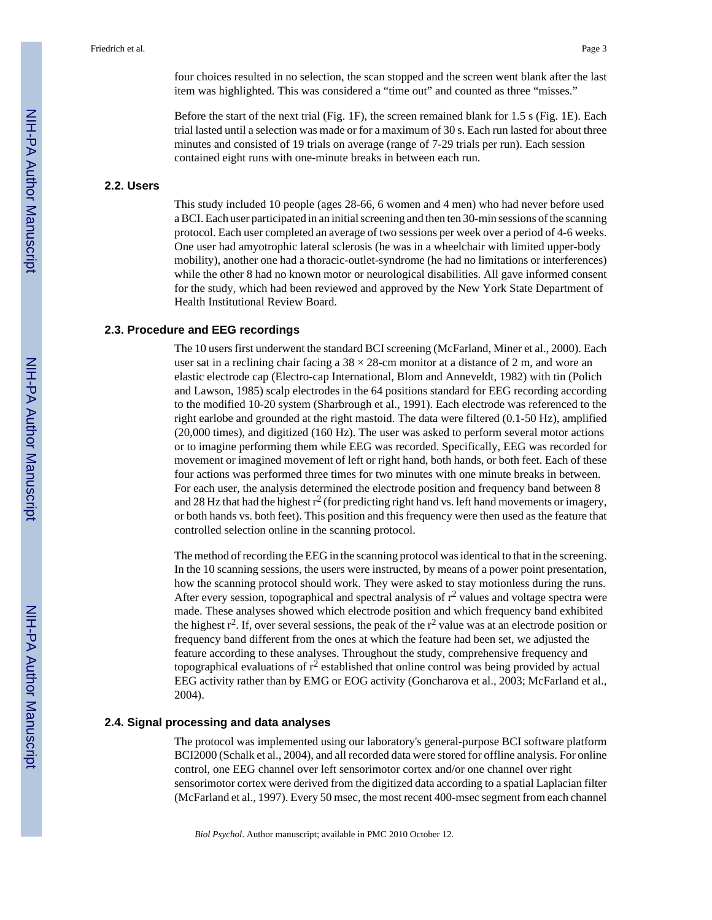four choices resulted in no selection, the scan stopped and the screen went blank after the last item was highlighted. This was considered a "time out" and counted as three "misses."

Before the start of the next trial (Fig. 1F), the screen remained blank for 1.5 s (Fig. 1E). Each trial lasted until a selection was made or for a maximum of 30 s. Each run lasted for about three minutes and consisted of 19 trials on average (range of 7-29 trials per run). Each session contained eight runs with one-minute breaks in between each run.

### **2.2. Users**

This study included 10 people (ages 28-66, 6 women and 4 men) who had never before used a BCI. Each user participated in an initial screening and then ten 30-min sessions of the scanning protocol. Each user completed an average of two sessions per week over a period of 4-6 weeks. One user had amyotrophic lateral sclerosis (he was in a wheelchair with limited upper-body mobility), another one had a thoracic-outlet-syndrome (he had no limitations or interferences) while the other 8 had no known motor or neurological disabilities. All gave informed consent for the study, which had been reviewed and approved by the New York State Department of Health Institutional Review Board.

#### **2.3. Procedure and EEG recordings**

The 10 users first underwent the standard BCI screening (McFarland, Miner et al., 2000). Each user sat in a reclining chair facing a  $38 \times 28$ -cm monitor at a distance of 2 m, and wore an elastic electrode cap (Electro-cap International, Blom and Anneveldt, 1982) with tin (Polich and Lawson, 1985) scalp electrodes in the 64 positions standard for EEG recording according to the modified 10-20 system (Sharbrough et al., 1991). Each electrode was referenced to the right earlobe and grounded at the right mastoid. The data were filtered (0.1-50 Hz), amplified (20,000 times), and digitized (160 Hz). The user was asked to perform several motor actions or to imagine performing them while EEG was recorded. Specifically, EEG was recorded for movement or imagined movement of left or right hand, both hands, or both feet. Each of these four actions was performed three times for two minutes with one minute breaks in between. For each user, the analysis determined the electrode position and frequency band between 8 and 28 Hz that had the highest  $r^2$  (for predicting right hand vs. left hand movements or imagery, or both hands vs. both feet). This position and this frequency were then used as the feature that controlled selection online in the scanning protocol.

The method of recording the EEG in the scanning protocol was identical to that in the screening. In the 10 scanning sessions, the users were instructed, by means of a power point presentation, how the scanning protocol should work. They were asked to stay motionless during the runs. After every session, topographical and spectral analysis of  $r^2$  values and voltage spectra were made. These analyses showed which electrode position and which frequency band exhibited the highest  $r^2$ . If, over several sessions, the peak of the  $r^2$  value was at an electrode position or frequency band different from the ones at which the feature had been set, we adjusted the feature according to these analyses. Throughout the study, comprehensive frequency and topographical evaluations of  $r^2$  established that online control was being provided by actual EEG activity rather than by EMG or EOG activity (Goncharova et al., 2003; McFarland et al., 2004).

#### **2.4. Signal processing and data analyses**

The protocol was implemented using our laboratory's general-purpose BCI software platform BCI2000 (Schalk et al., 2004), and all recorded data were stored for offline analysis. For online control, one EEG channel over left sensorimotor cortex and/or one channel over right sensorimotor cortex were derived from the digitized data according to a spatial Laplacian filter (McFarland et al., 1997). Every 50 msec, the most recent 400-msec segment from each channel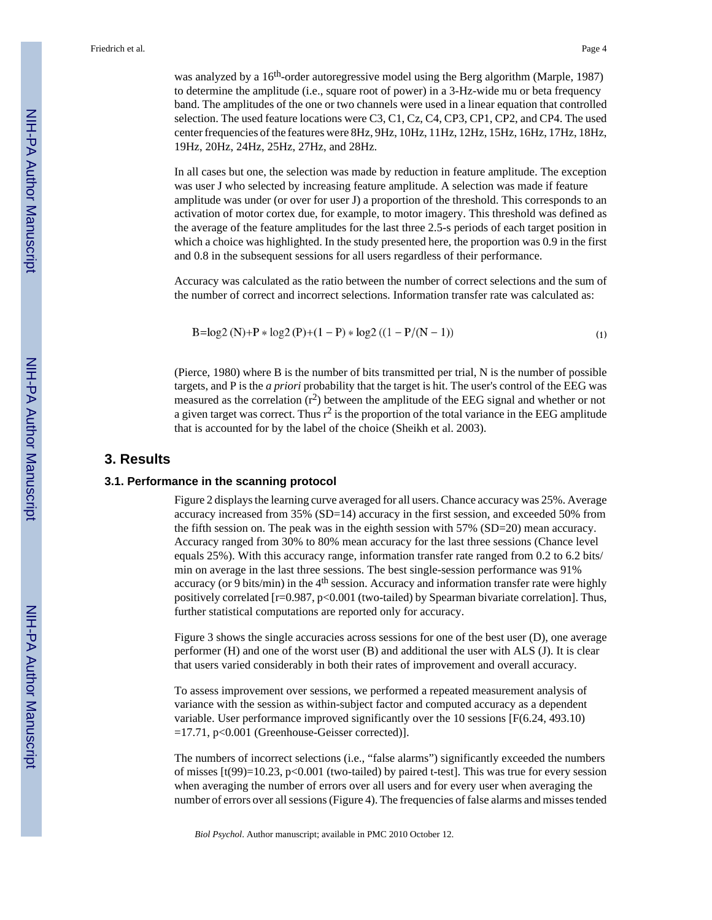was analyzed by a 16<sup>th</sup>-order autoregressive model using the Berg algorithm (Marple, 1987) to determine the amplitude (i.e., square root of power) in a 3-Hz-wide mu or beta frequency band. The amplitudes of the one or two channels were used in a linear equation that controlled selection. The used feature locations were C3, C1, Cz, C4, CP3, CP1, CP2, and CP4. The used center frequencies of the features were 8Hz, 9Hz, 10Hz, 11Hz, 12Hz, 15Hz, 16Hz, 17Hz, 18Hz, 19Hz, 20Hz, 24Hz, 25Hz, 27Hz, and 28Hz.

In all cases but one, the selection was made by reduction in feature amplitude. The exception was user J who selected by increasing feature amplitude. A selection was made if feature amplitude was under (or over for user J) a proportion of the threshold. This corresponds to an activation of motor cortex due, for example, to motor imagery. This threshold was defined as the average of the feature amplitudes for the last three 2.5-s periods of each target position in which a choice was highlighted. In the study presented here, the proportion was 0.9 in the first and 0.8 in the subsequent sessions for all users regardless of their performance.

Accuracy was calculated as the ratio between the number of correct selections and the sum of the number of correct and incorrect selections. Information transfer rate was calculated as:

$$
B = \log 2 (N) + P * \log 2 (P) + (1 - P) * \log 2 ((1 - P/(N - 1))
$$
\n(1)

(Pierce, 1980) where B is the number of bits transmitted per trial, N is the number of possible targets, and P is the *a priori* probability that the target is hit. The user's control of the EEG was measured as the correlation  $(r^2)$  between the amplitude of the EEG signal and whether or not a given target was correct. Thus  $r^2$  is the proportion of the total variance in the EEG amplitude that is accounted for by the label of the choice (Sheikh et al. 2003).

# **3. Results**

#### **3.1. Performance in the scanning protocol**

Figure 2 displays the learning curve averaged for all users. Chance accuracy was 25%. Average accuracy increased from 35% (SD=14) accuracy in the first session, and exceeded 50% from the fifth session on. The peak was in the eighth session with 57% (SD=20) mean accuracy. Accuracy ranged from 30% to 80% mean accuracy for the last three sessions (Chance level equals 25%). With this accuracy range, information transfer rate ranged from 0.2 to 6.2 bits/ min on average in the last three sessions. The best single-session performance was 91% accuracy (or 9 bits/min) in the  $4<sup>th</sup>$  session. Accuracy and information transfer rate were highly positively correlated  $[r=0.987, p<0.001$  (two-tailed) by Spearman bivariate correlation]. Thus, further statistical computations are reported only for accuracy.

Figure 3 shows the single accuracies across sessions for one of the best user (D), one average performer (H) and one of the worst user (B) and additional the user with ALS (J). It is clear that users varied considerably in both their rates of improvement and overall accuracy.

To assess improvement over sessions, we performed a repeated measurement analysis of variance with the session as within-subject factor and computed accuracy as a dependent variable. User performance improved significantly over the 10 sessions [F(6.24, 493.10) =17.71, p<0.001 (Greenhouse-Geisser corrected)].

The numbers of incorrect selections (i.e., "false alarms") significantly exceeded the numbers of misses  $[t(99)=10.23, p<0.001$  (two-tailed) by paired t-test]. This was true for every session when averaging the number of errors over all users and for every user when averaging the number of errors over all sessions (Figure 4). The frequencies of false alarms and misses tended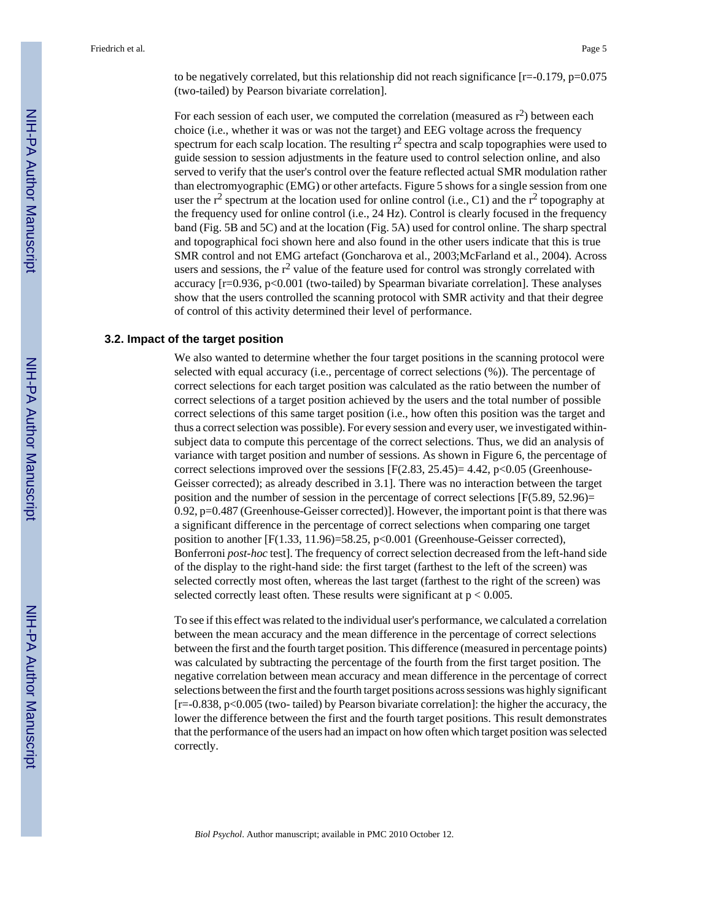to be negatively correlated, but this relationship did not reach significance  $[r=.0.179, p=.0.075$ (two-tailed) by Pearson bivariate correlation].

For each session of each user, we computed the correlation (measured as  $r^2$ ) between each choice (i.e., whether it was or was not the target) and EEG voltage across the frequency spectrum for each scalp location. The resulting  $r^2$  spectra and scalp topographies were used to guide session to session adjustments in the feature used to control selection online, and also served to verify that the user's control over the feature reflected actual SMR modulation rather than electromyographic (EMG) or other artefacts. Figure 5 shows for a single session from one user the  $r^2$  spectrum at the location used for online control (i.e., C1) and the  $r^2$  topography at the frequency used for online control (i.e., 24 Hz). Control is clearly focused in the frequency band (Fig. 5B and 5C) and at the location (Fig. 5A) used for control online. The sharp spectral and topographical foci shown here and also found in the other users indicate that this is true SMR control and not EMG artefact (Goncharova et al., 2003;McFarland et al., 2004). Across users and sessions, the  $r^2$  value of the feature used for control was strongly correlated with accuracy  $[r=0.936, p<0.001$  (two-tailed) by Spearman bivariate correlation]. These analyses show that the users controlled the scanning protocol with SMR activity and that their degree of control of this activity determined their level of performance.

#### **3.2. Impact of the target position**

We also wanted to determine whether the four target positions in the scanning protocol were selected with equal accuracy (i.e., percentage of correct selections (%)). The percentage of correct selections for each target position was calculated as the ratio between the number of correct selections of a target position achieved by the users and the total number of possible correct selections of this same target position (i.e., how often this position was the target and thus a correct selection was possible). For every session and every user, we investigated withinsubject data to compute this percentage of the correct selections. Thus, we did an analysis of variance with target position and number of sessions. As shown in Figure 6, the percentage of correct selections improved over the sessions  $[F(2.83, 25.45)=4.42, p<0.05$  (Greenhouse-Geisser corrected); as already described in 3.1]. There was no interaction between the target position and the number of session in the percentage of correct selections [F(5.89, 52.96)= 0.92, p=0.487 (Greenhouse-Geisser corrected)]. However, the important point is that there was a significant difference in the percentage of correct selections when comparing one target position to another [F(1.33, 11.96)=58.25, p<0.001 (Greenhouse-Geisser corrected), Bonferroni *post-hoc* test]. The frequency of correct selection decreased from the left-hand side of the display to the right-hand side: the first target (farthest to the left of the screen) was selected correctly most often, whereas the last target (farthest to the right of the screen) was selected correctly least often. These results were significant at  $p < 0.005$ .

To see if this effect was related to the individual user's performance, we calculated a correlation between the mean accuracy and the mean difference in the percentage of correct selections between the first and the fourth target position. This difference (measured in percentage points) was calculated by subtracting the percentage of the fourth from the first target position. The negative correlation between mean accuracy and mean difference in the percentage of correct selections between the first and the fourth target positions across sessions was highly significant [r=-0.838, p<0.005 (two- tailed) by Pearson bivariate correlation]: the higher the accuracy, the lower the difference between the first and the fourth target positions. This result demonstrates that the performance of the users had an impact on how often which target position was selected correctly.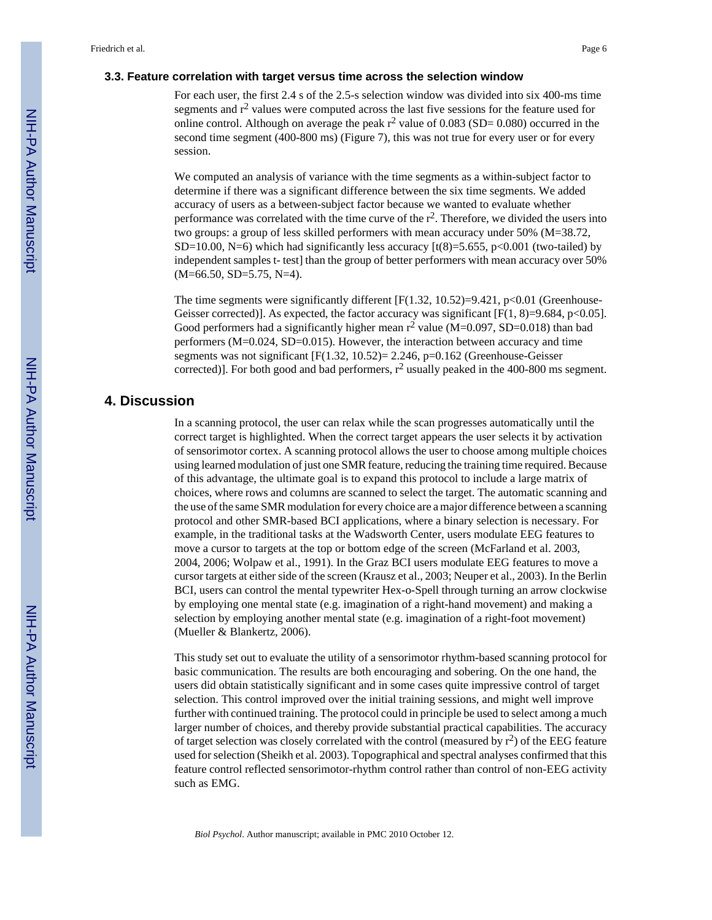#### **3.3. Feature correlation with target versus time across the selection window**

For each user, the first 2.4 s of the 2.5-s selection window was divided into six 400-ms time segments and  $r^2$  values were computed across the last five sessions for the feature used for online control. Although on average the peak  $r^2$  value of 0.083 (SD= 0.080) occurred in the second time segment (400-800 ms) (Figure 7), this was not true for every user or for every session.

We computed an analysis of variance with the time segments as a within-subject factor to determine if there was a significant difference between the six time segments. We added accuracy of users as a between-subject factor because we wanted to evaluate whether performance was correlated with the time curve of the  $r^2$ . Therefore, we divided the users into two groups: a group of less skilled performers with mean accuracy under 50% (M=38.72, SD=10.00, N=6) which had significantly less accuracy  $\left[\frac{t(8)}{5.655}, \frac{p}{0.001}$  (two-tailed) by independent samples t- test] than the group of better performers with mean accuracy over 50% (M=66.50, SD=5.75, N=4).

The time segments were significantly different  $[F(1.32, 10.52)=9.421, p<0.01$  (Greenhouse-Geisser corrected)]. As expected, the factor accuracy was significant [F(1, 8)=9.684, p<0.05]. Good performers had a significantly higher mean  $r^2$  value (M=0.097, SD=0.018) than bad performers (M=0.024, SD=0.015). However, the interaction between accuracy and time segments was not significant [F(1.32, 10.52)= 2.246, p=0.162 (Greenhouse-Geisser corrected)]. For both good and bad performers,  $r^2$  usually peaked in the 400-800 ms segment.

# **4. Discussion**

In a scanning protocol, the user can relax while the scan progresses automatically until the correct target is highlighted. When the correct target appears the user selects it by activation of sensorimotor cortex. A scanning protocol allows the user to choose among multiple choices using learned modulation of just one SMR feature, reducing the training time required. Because of this advantage, the ultimate goal is to expand this protocol to include a large matrix of choices, where rows and columns are scanned to select the target. The automatic scanning and the use of the same SMR modulation for every choice are a major difference between a scanning protocol and other SMR-based BCI applications, where a binary selection is necessary. For example, in the traditional tasks at the Wadsworth Center, users modulate EEG features to move a cursor to targets at the top or bottom edge of the screen (McFarland et al. 2003, 2004, 2006; Wolpaw et al., 1991). In the Graz BCI users modulate EEG features to move a cursor targets at either side of the screen (Krausz et al., 2003; Neuper et al., 2003). In the Berlin BCI, users can control the mental typewriter Hex-o-Spell through turning an arrow clockwise by employing one mental state (e.g. imagination of a right-hand movement) and making a selection by employing another mental state (e.g. imagination of a right-foot movement) (Mueller & Blankertz, 2006).

This study set out to evaluate the utility of a sensorimotor rhythm-based scanning protocol for basic communication. The results are both encouraging and sobering. On the one hand, the users did obtain statistically significant and in some cases quite impressive control of target selection. This control improved over the initial training sessions, and might well improve further with continued training. The protocol could in principle be used to select among a much larger number of choices, and thereby provide substantial practical capabilities. The accuracy of target selection was closely correlated with the control (measured by  $r^2$ ) of the EEG feature used for selection (Sheikh et al. 2003). Topographical and spectral analyses confirmed that this feature control reflected sensorimotor-rhythm control rather than control of non-EEG activity such as EMG.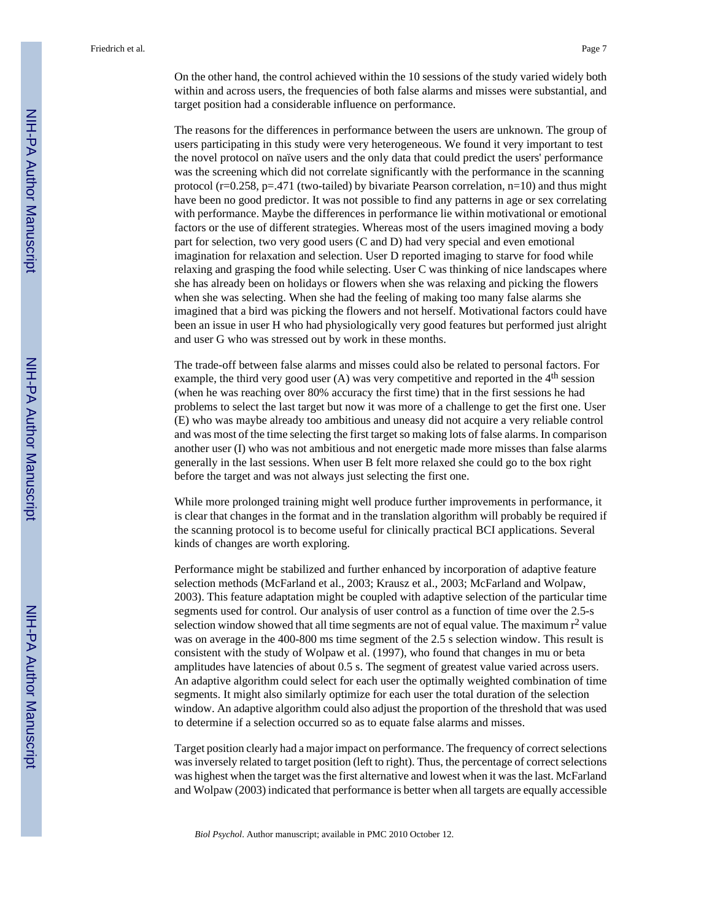On the other hand, the control achieved within the 10 sessions of the study varied widely both within and across users, the frequencies of both false alarms and misses were substantial, and target position had a considerable influence on performance.

The reasons for the differences in performance between the users are unknown. The group of users participating in this study were very heterogeneous. We found it very important to test the novel protocol on naïve users and the only data that could predict the users' performance was the screening which did not correlate significantly with the performance in the scanning protocol ( $r=0.258$ ,  $p=.471$  (two-tailed) by bivariate Pearson correlation,  $n=10$ ) and thus might have been no good predictor. It was not possible to find any patterns in age or sex correlating with performance. Maybe the differences in performance lie within motivational or emotional factors or the use of different strategies. Whereas most of the users imagined moving a body part for selection, two very good users (C and D) had very special and even emotional imagination for relaxation and selection. User D reported imaging to starve for food while relaxing and grasping the food while selecting. User C was thinking of nice landscapes where she has already been on holidays or flowers when she was relaxing and picking the flowers when she was selecting. When she had the feeling of making too many false alarms she imagined that a bird was picking the flowers and not herself. Motivational factors could have been an issue in user H who had physiologically very good features but performed just alright and user G who was stressed out by work in these months.

The trade-off between false alarms and misses could also be related to personal factors. For example, the third very good user  $(A)$  was very competitive and reported in the 4<sup>th</sup> session (when he was reaching over 80% accuracy the first time) that in the first sessions he had problems to select the last target but now it was more of a challenge to get the first one. User (E) who was maybe already too ambitious and uneasy did not acquire a very reliable control and was most of the time selecting the first target so making lots of false alarms. In comparison another user (I) who was not ambitious and not energetic made more misses than false alarms generally in the last sessions. When user B felt more relaxed she could go to the box right before the target and was not always just selecting the first one.

While more prolonged training might well produce further improvements in performance, it is clear that changes in the format and in the translation algorithm will probably be required if the scanning protocol is to become useful for clinically practical BCI applications. Several kinds of changes are worth exploring.

Performance might be stabilized and further enhanced by incorporation of adaptive feature selection methods (McFarland et al., 2003; Krausz et al., 2003; McFarland and Wolpaw, 2003). This feature adaptation might be coupled with adaptive selection of the particular time segments used for control. Our analysis of user control as a function of time over the 2.5-s selection window showed that all time segments are not of equal value. The maximum  $r^2$  value was on average in the 400-800 ms time segment of the 2.5 s selection window. This result is consistent with the study of Wolpaw et al. (1997), who found that changes in mu or beta amplitudes have latencies of about 0.5 s. The segment of greatest value varied across users. An adaptive algorithm could select for each user the optimally weighted combination of time segments. It might also similarly optimize for each user the total duration of the selection window. An adaptive algorithm could also adjust the proportion of the threshold that was used to determine if a selection occurred so as to equate false alarms and misses.

Target position clearly had a major impact on performance. The frequency of correct selections was inversely related to target position (left to right). Thus, the percentage of correct selections was highest when the target was the first alternative and lowest when it was the last. McFarland and Wolpaw (2003) indicated that performance is better when all targets are equally accessible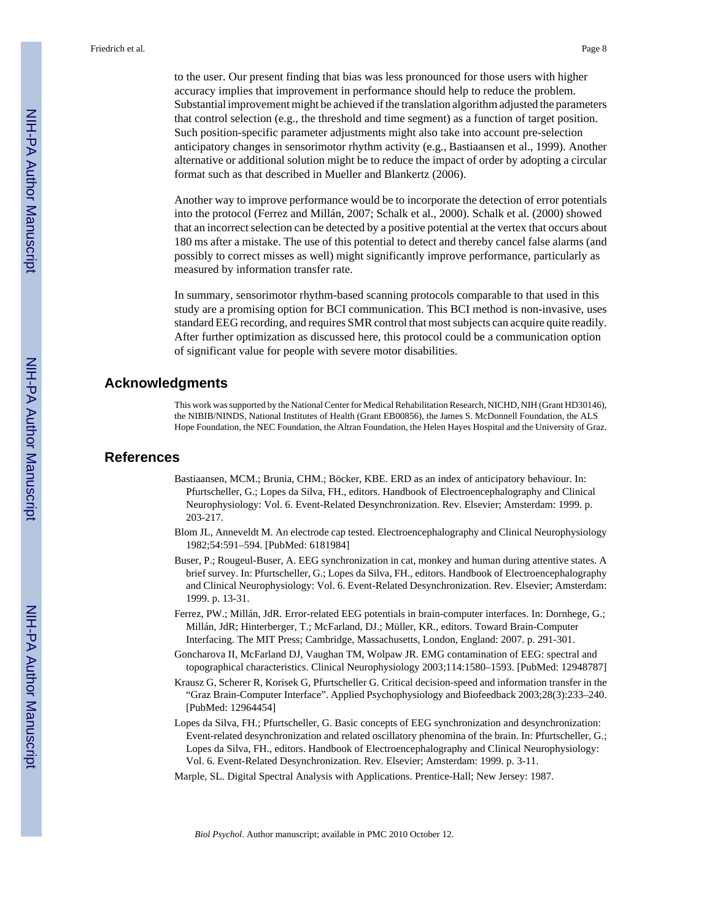to the user. Our present finding that bias was less pronounced for those users with higher accuracy implies that improvement in performance should help to reduce the problem. Substantial improvement might be achieved if the translation algorithm adjusted the parameters that control selection (e.g., the threshold and time segment) as a function of target position. Such position-specific parameter adjustments might also take into account pre-selection anticipatory changes in sensorimotor rhythm activity (e.g., Bastiaansen et al., 1999). Another alternative or additional solution might be to reduce the impact of order by adopting a circular format such as that described in Mueller and Blankertz (2006).

Another way to improve performance would be to incorporate the detection of error potentials into the protocol (Ferrez and Millán, 2007; Schalk et al., 2000). Schalk et al. (2000) showed that an incorrect selection can be detected by a positive potential at the vertex that occurs about 180 ms after a mistake. The use of this potential to detect and thereby cancel false alarms (and possibly to correct misses as well) might significantly improve performance, particularly as measured by information transfer rate.

In summary, sensorimotor rhythm-based scanning protocols comparable to that used in this study are a promising option for BCI communication. This BCI method is non-invasive, uses standard EEG recording, and requires SMR control that most subjects can acquire quite readily. After further optimization as discussed here, this protocol could be a communication option of significant value for people with severe motor disabilities.

# **Acknowledgments**

This work was supported by the National Center for Medical Rehabilitation Research, NICHD, NIH (Grant HD30146), the NIBIB/NINDS, National Institutes of Health (Grant EB00856), the James S. McDonnell Foundation, the ALS Hope Foundation, the NEC Foundation, the Altran Foundation, the Helen Hayes Hospital and the University of Graz.

#### **References**

- Bastiaansen, MCM.; Brunia, CHM.; Böcker, KBE. ERD as an index of anticipatory behaviour. In: Pfurtscheller, G.; Lopes da Silva, FH., editors. Handbook of Electroencephalography and Clinical Neurophysiology: Vol. 6. Event-Related Desynchronization. Rev. Elsevier; Amsterdam: 1999. p. 203-217.
- Blom JL, Anneveldt M. An electrode cap tested. Electroencephalography and Clinical Neurophysiology 1982;54:591–594. [PubMed: 6181984]
- Buser, P.; Rougeul-Buser, A. EEG synchronization in cat, monkey and human during attentive states. A brief survey. In: Pfurtscheller, G.; Lopes da Silva, FH., editors. Handbook of Electroencephalography and Clinical Neurophysiology: Vol. 6. Event-Related Desynchronization. Rev. Elsevier; Amsterdam: 1999. p. 13-31.
- Ferrez, PW.; Millán, JdR. Error-related EEG potentials in brain-computer interfaces. In: Dornhege, G.; Millán, JdR; Hinterberger, T.; McFarland, DJ.; Müller, KR., editors. Toward Brain-Computer Interfacing. The MIT Press; Cambridge, Massachusetts, London, England: 2007. p. 291-301.
- Goncharova II, McFarland DJ, Vaughan TM, Wolpaw JR. EMG contamination of EEG: spectral and topographical characteristics. Clinical Neurophysiology 2003;114:1580–1593. [PubMed: 12948787]
- Krausz G, Scherer R, Korisek G, Pfurtscheller G. Critical decision-speed and information transfer in the "Graz Brain-Computer Interface". Applied Psychophysiology and Biofeedback 2003;28(3):233–240. [PubMed: 12964454]
- Lopes da Silva, FH.; Pfurtscheller, G. Basic concepts of EEG synchronization and desynchronization: Event-related desynchronization and related oscillatory phenomina of the brain. In: Pfurtscheller, G.; Lopes da Silva, FH., editors. Handbook of Electroencephalography and Clinical Neurophysiology: Vol. 6. Event-Related Desynchronization. Rev. Elsevier; Amsterdam: 1999. p. 3-11.
- Marple, SL. Digital Spectral Analysis with Applications. Prentice-Hall; New Jersey: 1987.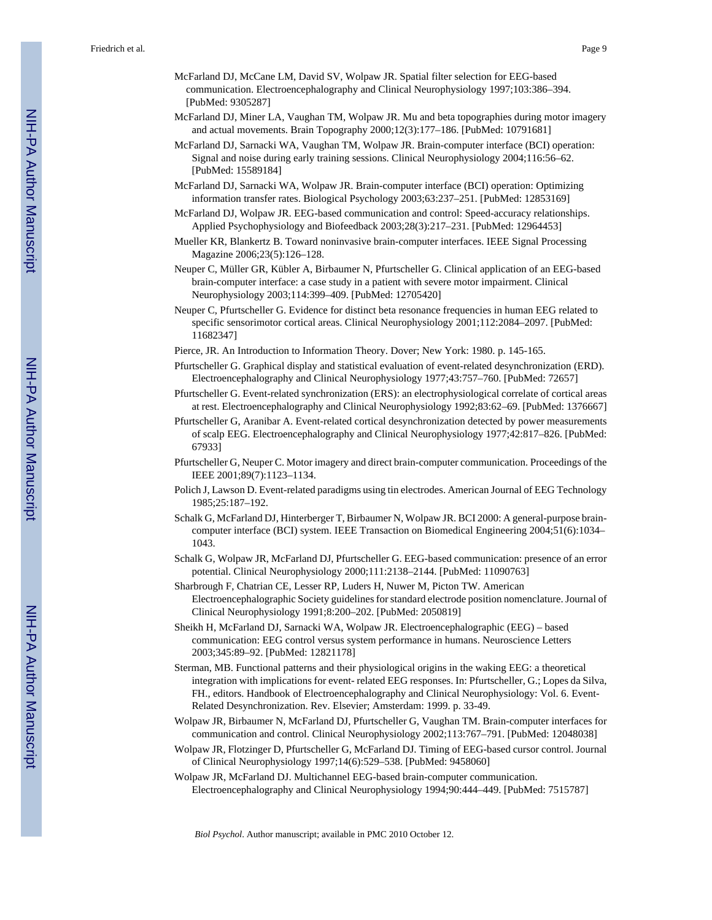- McFarland DJ, McCane LM, David SV, Wolpaw JR. Spatial filter selection for EEG-based communication. Electroencephalography and Clinical Neurophysiology 1997;103:386–394. [PubMed: 9305287]
- McFarland DJ, Miner LA, Vaughan TM, Wolpaw JR. Mu and beta topographies during motor imagery and actual movements. Brain Topography 2000;12(3):177–186. [PubMed: 10791681]
- McFarland DJ, Sarnacki WA, Vaughan TM, Wolpaw JR. Brain-computer interface (BCI) operation: Signal and noise during early training sessions. Clinical Neurophysiology 2004;116:56–62. [PubMed: 15589184]
- McFarland DJ, Sarnacki WA, Wolpaw JR. Brain-computer interface (BCI) operation: Optimizing information transfer rates. Biological Psychology 2003;63:237–251. [PubMed: 12853169]
- McFarland DJ, Wolpaw JR. EEG-based communication and control: Speed-accuracy relationships. Applied Psychophysiology and Biofeedback 2003;28(3):217–231. [PubMed: 12964453]
- Mueller KR, Blankertz B. Toward noninvasive brain-computer interfaces. IEEE Signal Processing Magazine 2006;23(5):126–128.
- Neuper C, Müller GR, Kübler A, Birbaumer N, Pfurtscheller G. Clinical application of an EEG-based brain-computer interface: a case study in a patient with severe motor impairment. Clinical Neurophysiology 2003;114:399–409. [PubMed: 12705420]
- Neuper C, Pfurtscheller G. Evidence for distinct beta resonance frequencies in human EEG related to specific sensorimotor cortical areas. Clinical Neurophysiology 2001;112:2084–2097. [PubMed: 11682347]
- Pierce, JR. An Introduction to Information Theory. Dover; New York: 1980. p. 145-165.
- Pfurtscheller G. Graphical display and statistical evaluation of event-related desynchronization (ERD). Electroencephalography and Clinical Neurophysiology 1977;43:757–760. [PubMed: 72657]
- Pfurtscheller G. Event-related synchronization (ERS): an electrophysiological correlate of cortical areas at rest. Electroencephalography and Clinical Neurophysiology 1992;83:62–69. [PubMed: 1376667]
- Pfurtscheller G, Aranibar A. Event-related cortical desynchronization detected by power measurements of scalp EEG. Electroencephalography and Clinical Neurophysiology 1977;42:817–826. [PubMed: 67933]
- Pfurtscheller G, Neuper C. Motor imagery and direct brain-computer communication. Proceedings of the IEEE 2001;89(7):1123–1134.
- Polich J, Lawson D. Event-related paradigms using tin electrodes. American Journal of EEG Technology 1985;25:187–192.
- Schalk G, McFarland DJ, Hinterberger T, Birbaumer N, Wolpaw JR. BCI 2000: A general-purpose braincomputer interface (BCI) system. IEEE Transaction on Biomedical Engineering 2004;51(6):1034– 1043.
- Schalk G, Wolpaw JR, McFarland DJ, Pfurtscheller G. EEG-based communication: presence of an error potential. Clinical Neurophysiology 2000;111:2138–2144. [PubMed: 11090763]
- Sharbrough F, Chatrian CE, Lesser RP, Luders H, Nuwer M, Picton TW. American Electroencephalographic Society guidelines for standard electrode position nomenclature. Journal of Clinical Neurophysiology 1991;8:200–202. [PubMed: 2050819]
- Sheikh H, McFarland DJ, Sarnacki WA, Wolpaw JR. Electroencephalographic (EEG) based communication: EEG control versus system performance in humans. Neuroscience Letters 2003;345:89–92. [PubMed: 12821178]
- Sterman, MB. Functional patterns and their physiological origins in the waking EEG: a theoretical integration with implications for event- related EEG responses. In: Pfurtscheller, G.; Lopes da Silva, FH., editors. Handbook of Electroencephalography and Clinical Neurophysiology: Vol. 6. Event-Related Desynchronization. Rev. Elsevier; Amsterdam: 1999. p. 33-49.
- Wolpaw JR, Birbaumer N, McFarland DJ, Pfurtscheller G, Vaughan TM. Brain-computer interfaces for communication and control. Clinical Neurophysiology 2002;113:767–791. [PubMed: 12048038]
- Wolpaw JR, Flotzinger D, Pfurtscheller G, McFarland DJ. Timing of EEG-based cursor control. Journal of Clinical Neurophysiology 1997;14(6):529–538. [PubMed: 9458060]
- Wolpaw JR, McFarland DJ. Multichannel EEG-based brain-computer communication. Electroencephalography and Clinical Neurophysiology 1994;90:444–449. [PubMed: 7515787]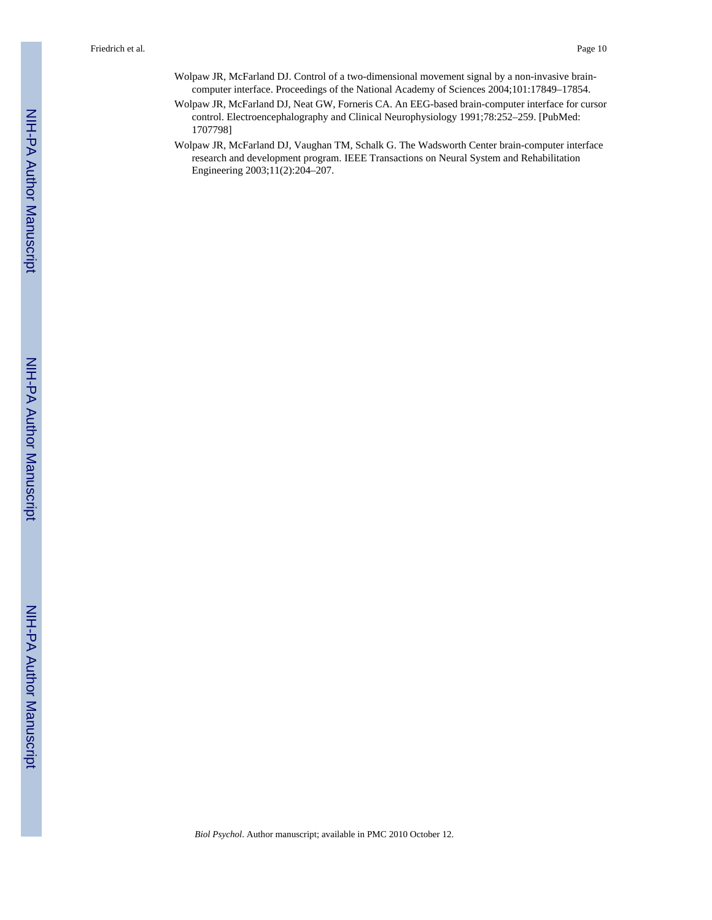- Wolpaw JR, McFarland DJ. Control of a two-dimensional movement signal by a non-invasive braincomputer interface. Proceedings of the National Academy of Sciences 2004;101:17849–17854.
- Wolpaw JR, McFarland DJ, Neat GW, Forneris CA. An EEG-based brain-computer interface for cursor control. Electroencephalography and Clinical Neurophysiology 1991;78:252–259. [PubMed: 1707798]
- Wolpaw JR, McFarland DJ, Vaughan TM, Schalk G. The Wadsworth Center brain-computer interface research and development program. IEEE Transactions on Neural System and Rehabilitation Engineering 2003;11(2):204–207.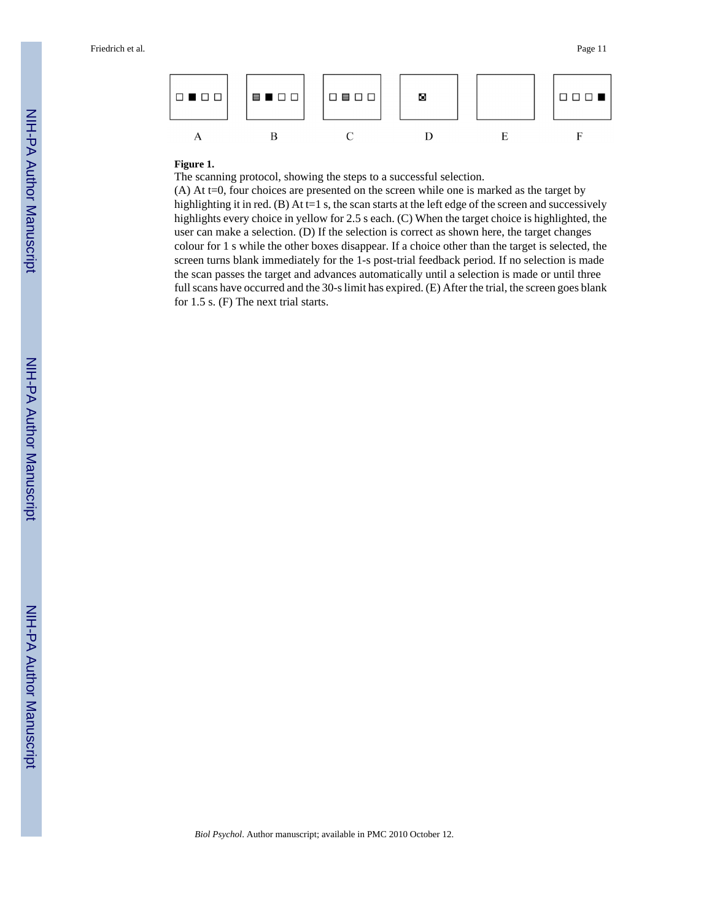

# **Figure 1.**

The scanning protocol, showing the steps to a successful selection.

(A) At t=0, four choices are presented on the screen while one is marked as the target by highlighting it in red. (B) At t=1 s, the scan starts at the left edge of the screen and successively highlights every choice in yellow for 2.5 s each. (C) When the target choice is highlighted, the user can make a selection. (D) If the selection is correct as shown here, the target changes colour for 1 s while the other boxes disappear. If a choice other than the target is selected, the screen turns blank immediately for the 1-s post-trial feedback period. If no selection is made the scan passes the target and advances automatically until a selection is made or until three full scans have occurred and the 30-s limit has expired. (E) After the trial, the screen goes blank for 1.5 s. (F) The next trial starts.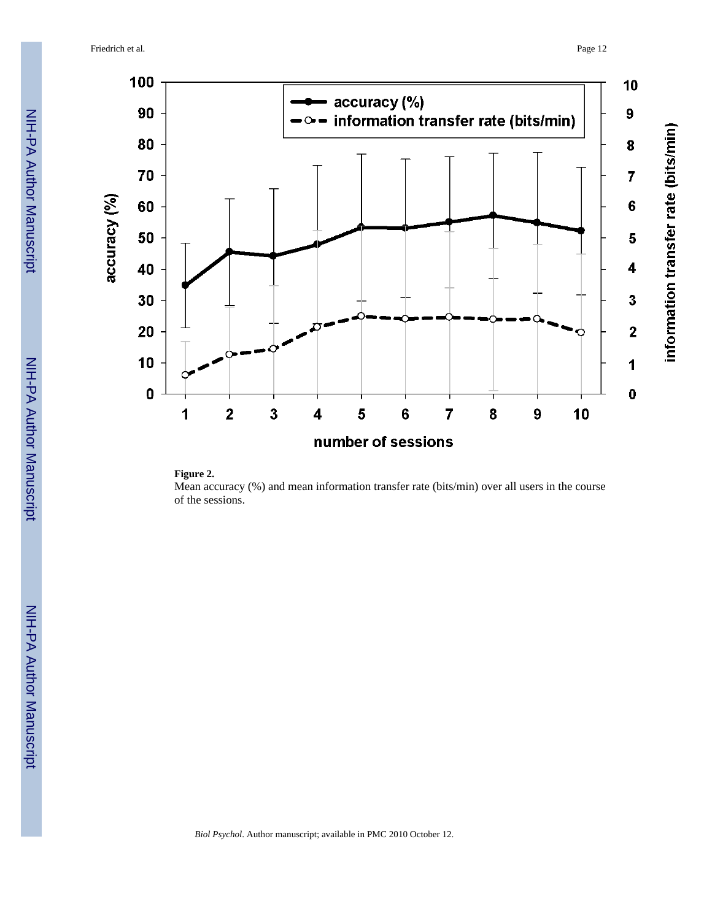



Mean accuracy (%) and mean information transfer rate (bits/min) over all users in the course of the sessions.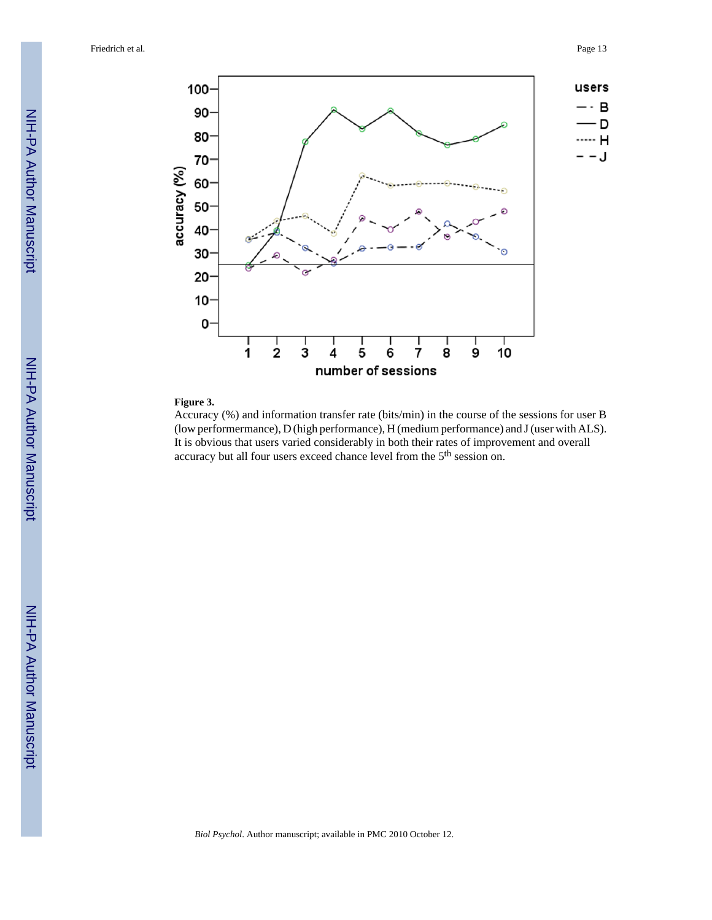

#### **Figure 3.**

Accuracy (%) and information transfer rate (bits/min) in the course of the sessions for user B (low performermance), D (high performance), H (medium performance) and J (user with ALS). It is obvious that users varied considerably in both their rates of improvement and overall accuracy but all four users exceed chance level from the 5<sup>th</sup> session on.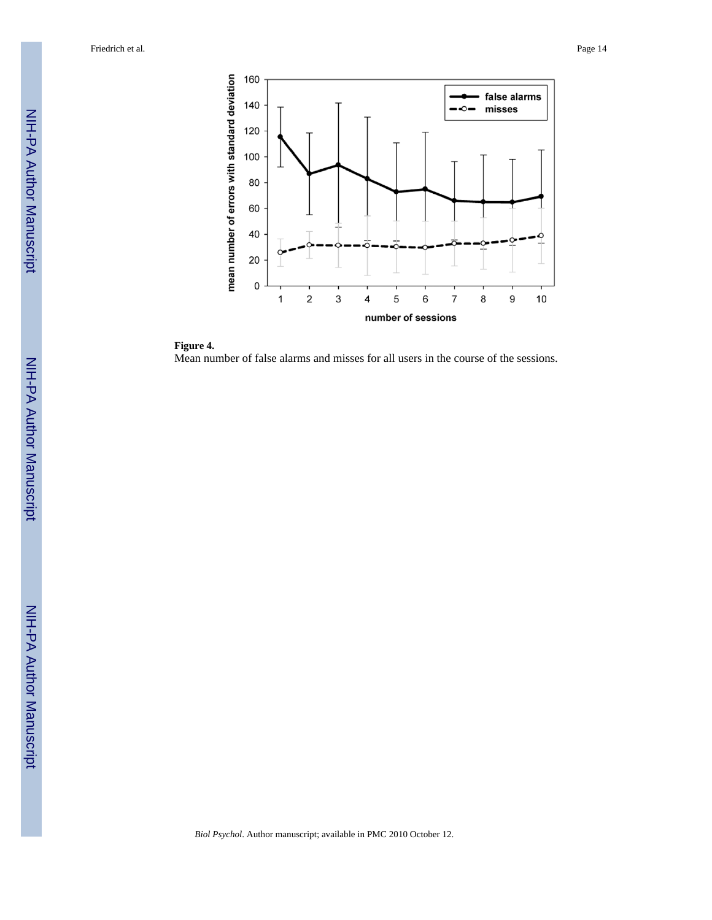

**Figure 4.** Mean number of false alarms and misses for all users in the course of the sessions.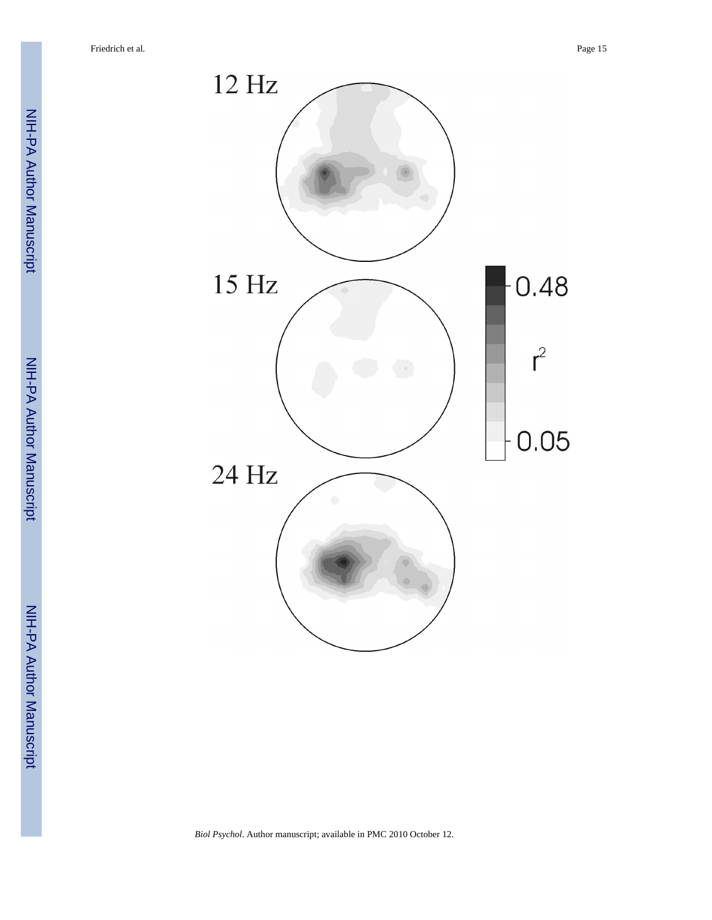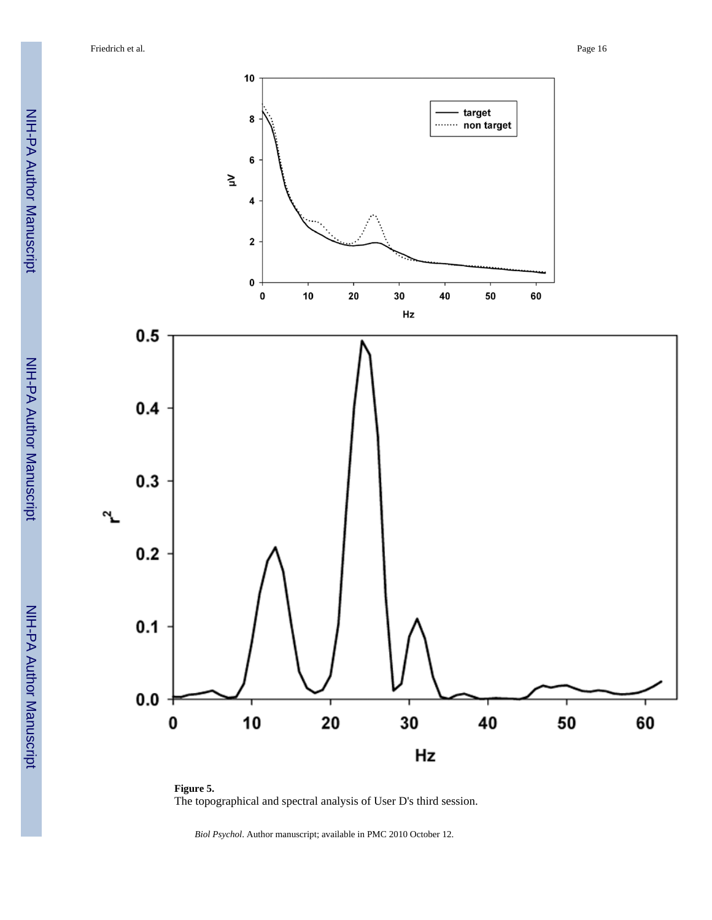

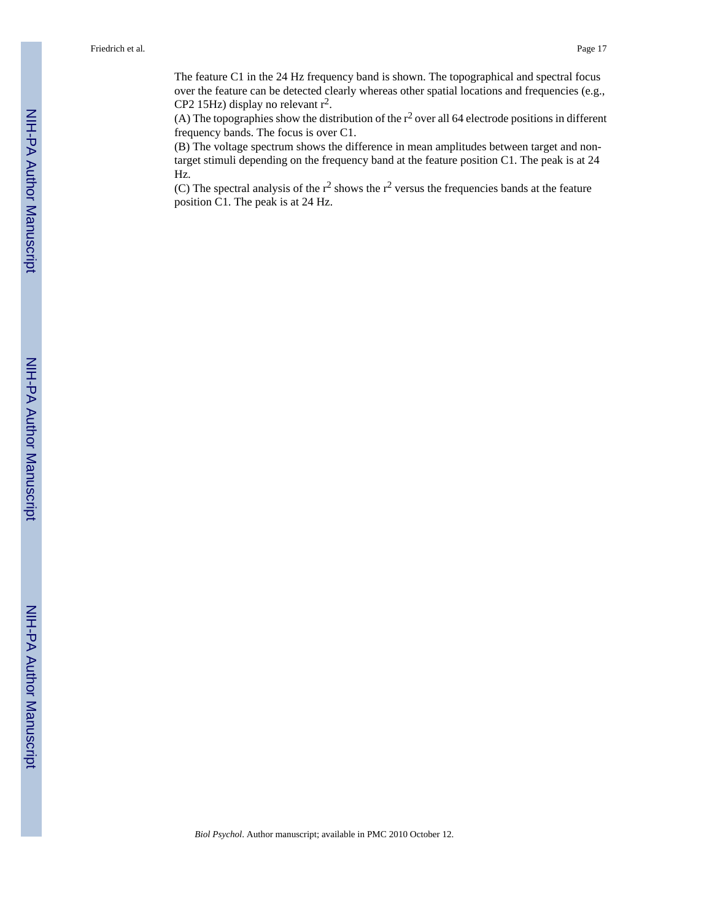The feature C1 in the 24 Hz frequency band is shown. The topographical and spectral focus over the feature can be detected clearly whereas other spatial locations and frequencies (e.g., CP2 15Hz) display no relevant  $r^2$ .

(A) The topographies show the distribution of the  $r^2$  over all 64 electrode positions in different frequency bands. The focus is over C1.

(B) The voltage spectrum shows the difference in mean amplitudes between target and nontarget stimuli depending on the frequency band at the feature position C1. The peak is at 24 Hz.

(C) The spectral analysis of the  $r^2$  shows the  $r^2$  versus the frequencies bands at the feature position C1. The peak is at 24 Hz.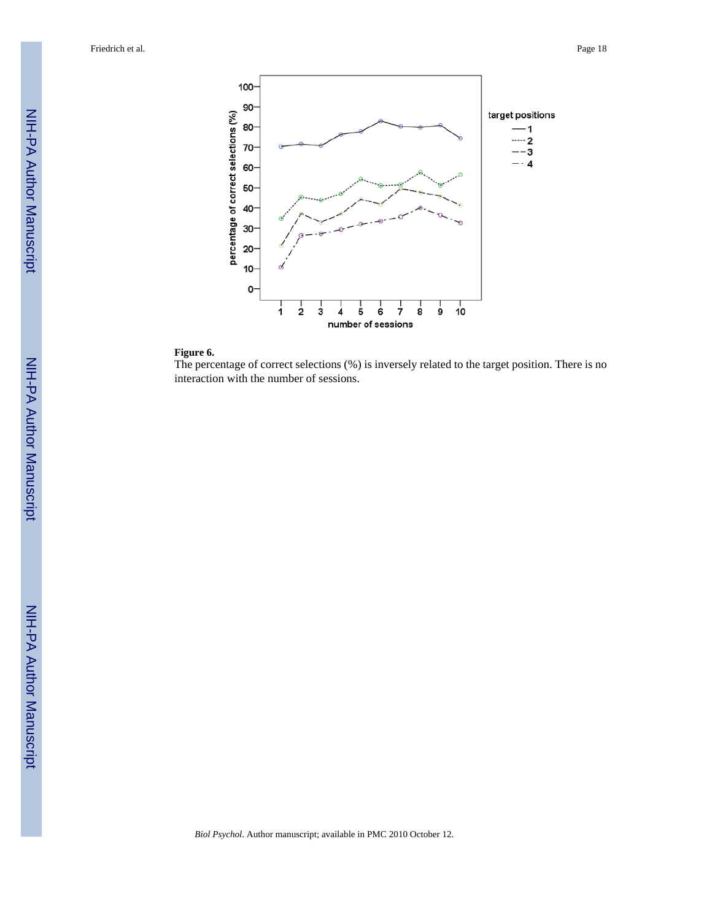

# **Figure 6.**

The percentage of correct selections (%) is inversely related to the target position. There is no interaction with the number of sessions.